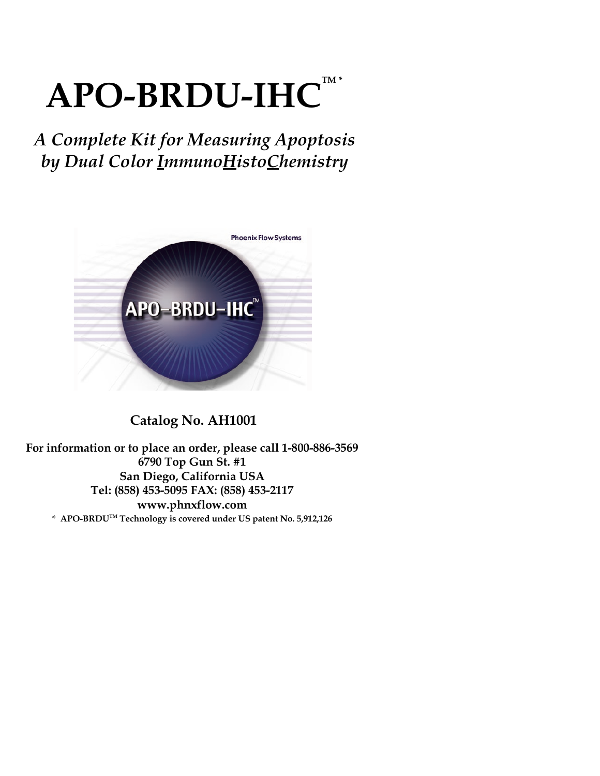# $\bf APO-BRDU-IHC$ <sup>TM\*</sup>

## *A Complete Kit for Measuring Apoptosis by Dual Color ImmunoHistoChemistry*



## **Catalog No. AH1001**

**For information or to place an order, please call 1-800-886-3569 6790 Top Gun St. #1 San Diego, California USA Tel: (858) 453-5095 FAX: (858) 453-2117 www.phnxflow.com \* APO-BRDUTM Technology is covered under US patent No. 5,912,126**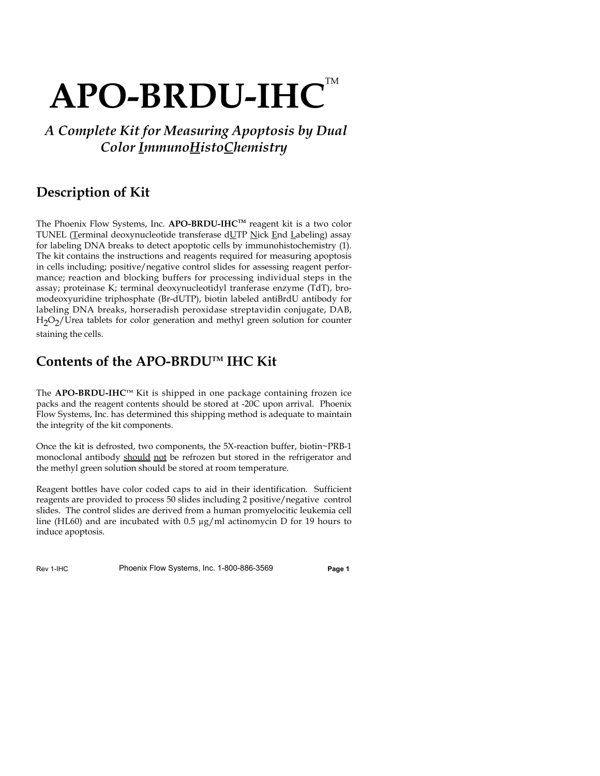## APO-BRDU-IHC<sup>™</sup>

## *A Complete Kit for Measuring Apoptosis by Dual Color ImmunoHistoChemistry*

## **Description of Kit**

The Phoenix Flow Systems, Inc. **APO-BRDU-IHCTM** reagent kit is a two color TUNEL (Terminal deoxynucleotide transferase dUTP Nick End Labeling) assay for labeling DNA breaks to detect apoptotic cells by immunohistochemistry (1). The kit contains the instructions and reagents required for measuring apoptosis in cells including; positive/negative control slides for assessing reagent performance; reaction and blocking buffers for processing individual steps in the assay; proteinase K; terminal deoxynucleotidyl tranferase enzyme (TdT), bromodeoxyuridine triphosphate (Br-dUTP), biotin labeled antiBrdU antibody for labeling DNA breaks, horseradish peroxidase streptavidin conjugate, DAB,  $H<sub>2</sub>O<sub>2</sub>/U$ rea tablets for color generation and methyl green solution for counter staining the cells.

## **Contents of the APO-BRDUTM IHC Kit**

The **APO-BRDU-IHC**<sup>™</sup> Kit is shipped in one package containing frozen ice packs and the reagent contents should be stored at -20C upon arrival. Phoenix Flow Systems, Inc. has determined this shipping method is adequate to maintain the integrity of the kit components.

Once the kit is defrosted, two components, the 5X-reaction buffer, biotin~PRB-1 monoclonal antibody should not be refrozen but stored in the refrigerator and the methyl green solution should be stored at room temperature.

Reagent bottles have color coded caps to aid in their identification. Sufficient reagents are provided to process 50 slides including 2 positive/negative control slides. The control slides are derived from a human promyelocitic leukemia cell line (HL60) and are incubated with 0.5  $\mu$ g/ml actinomycin D for 19 hours to induce apoptosis.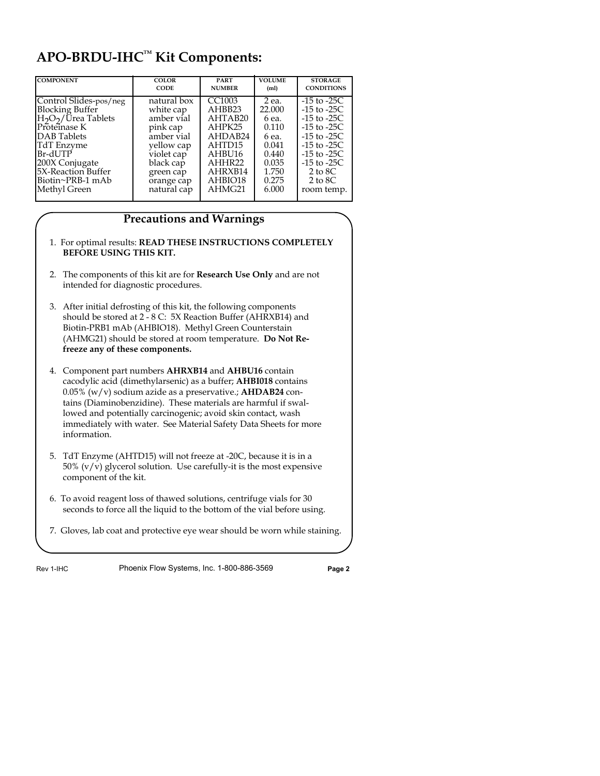## **APO-BRDU-IHCTM Kit Components:**

| <b>COMPONENT</b>                            | <b>COLOR</b> | <b>PART</b>   | <b>VOLUME</b>     | <b>STORAGE</b>     |
|---------------------------------------------|--------------|---------------|-------------------|--------------------|
|                                             | <b>CODE</b>  | <b>NUMBER</b> | (m <sub>l</sub> ) | <b>CONDITIONS</b>  |
| Control Slides-pos/neg                      | natural box  | CC1003        | 2 ea.             | $-15$ to $-25C$    |
| <b>Blocking Buffer</b>                      | white cap    | AHBB23        | 22,000            | $-15$ to $-25C$    |
| H <sub>2</sub> O <sub>2</sub> /Urea Tablets | amber vial   | AHTAB20       | 6 ea.             | $-15$ to $-25C$    |
| Proteinase K                                | pink cap     | AHPK25        | 0.110             | $-15$ to $-25C$    |
| DAB Tablets                                 | amber vial   | AHDAB24       | 6 ea.             | $-15$ to $-25C$    |
| TdT Enzvme                                  | yellow cap   | AHTD15        | 0.041             | $-15$ to $-25C$    |
| Br-dUTP                                     | violet cap   | AHBU16        | 0.440             | $-15$ to $-25C$    |
| 200X Conjugate                              | black cap    | AHHR22        | 0.035             | $-15$ to $-25C$    |
| 5X-Reaction Buffer                          | green cap    | AHRXB14       | 1.750             | $2 \text{ to } 8C$ |
| Biotin~PRB-1 mAb                            | orange cap   | AHBIO18       | 0.275             | $2 \text{ to } 8C$ |
| Methyl Green                                | natural cap  | AHMG21        | 6.000             | room temp.         |

### **Precautions and Warnings**

- 1. For optimal results: **READ THESE INSTRUCTIONS COMPLETELY BEFORE USING THIS KIT.**
- 2. The components of this kit are for **Research Use Only** and are not intended for diagnostic procedures.
- 3. After initial defrosting of this kit, the following components should be stored at 2 - 8 C: 5X Reaction Buffer (AHRXB14) and Biotin-PRB1 mAb (AHBIO18). Methyl Green Counterstain (AHMG21) should be stored at room temperature. **Do Not Refreeze any of these components.**
- 4. Component part numbers **AHRXB14** and **AHBU16** contain cacodylic acid (dimethylarsenic) as a buffer; **AHBI018** contains 0.05% (w/v) sodium azide as a preservative.; **AHDAB24** contains (Diaminobenzidine). These materials are harmful if swallowed and potentially carcinogenic; avoid skin contact, wash immediately with water. See Material Safety Data Sheets for more information.
- 5. TdT Enzyme (AHTD15) will not freeze at -20C, because it is in a 50%  $(v/v)$  glycerol solution. Use carefully-it is the most expensive component of the kit.
- 6. To avoid reagent loss of thawed solutions, centrifuge vials for 30 seconds to force all the liquid to the bottom of the vial before using.
- 7. Gloves, lab coat and protective eye wear should be worn while staining.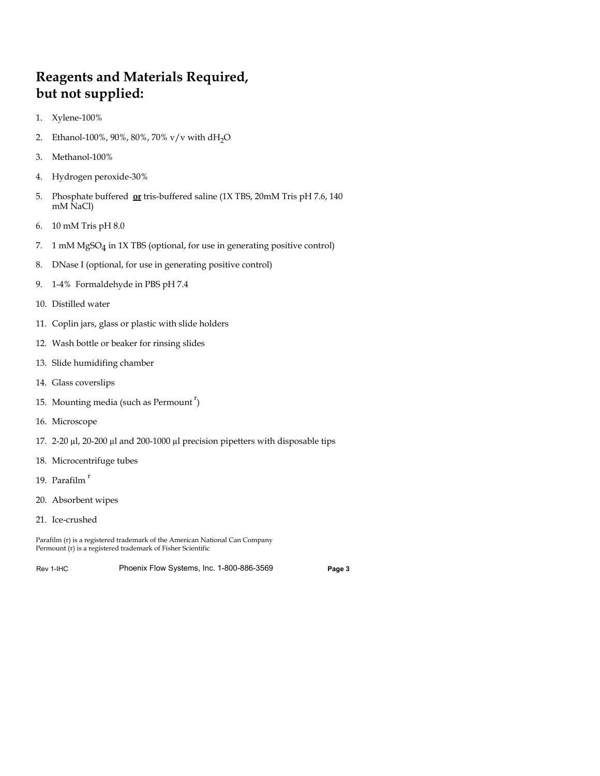## **Reagents and Materials Required, but not supplied:**

- 1. Xylene-100%
- 2. Ethanol-100%, 90%, 80%, 70% v/v with dH<sub>2</sub>O
- 3. Methanol-100%
- 4. Hydrogen peroxide-30%
- 5. Phosphate buffered **or** tris-buffered saline (1X TBS, 20mM Tris pH 7.6, 140 mM NaCl)
- 6. 10 mM Tris pH 8.0
- 7. 1 mM  $MgSO<sub>4</sub>$  in 1X TBS (optional, for use in generating positive control)
- 8. DNase I (optional, for use in generating positive control)
- 9. 1-4% Formaldehyde in PBS pH 7.4
- 10. Distilled water
- 11. Coplin jars, glass or plastic with slide holders
- 12. Wash bottle or beaker for rinsing slides
- 13. Slide humidifing chamber
- 14. Glass coverslips
- 15. Mounting media (such as Permount  $\boldsymbol{^{\text{r}}}$ )
- 16. Microscope
- 17. 2-20 µl, 20-200 µl and 200-1000 µl precision pipetters with disposable tips
- 18. Microcentrifuge tubes
- 19. Parafilm<sup>r</sup>
- 20. Absorbent wipes
- 21. Ice-crushed

Parafilm (r) is a registered trademark of the American National Can Company Permount (r) is a registered trademark of Fisher Scientific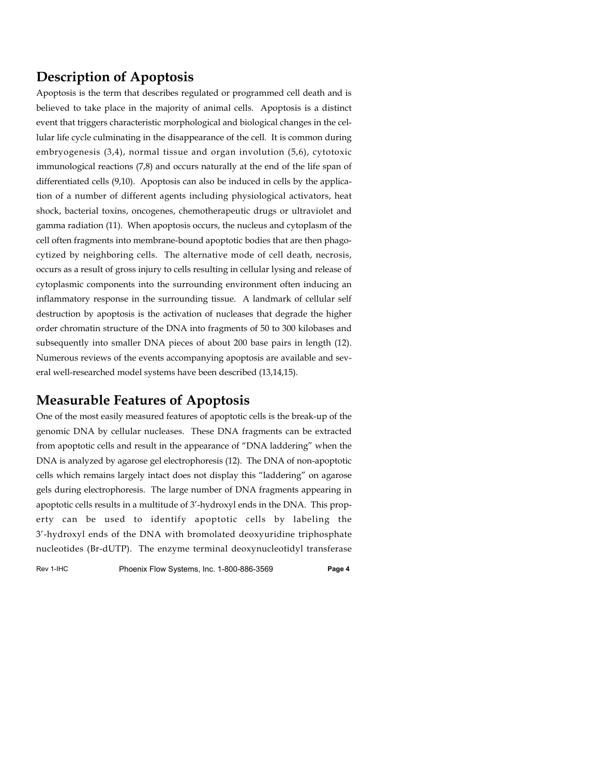## **Description of Apoptosis**

Apoptosis is the term that describes regulated or programmed cell death and is believed to take place in the majority of animal cells. Apoptosis is a distinct event that triggers characteristic morphological and biological changes in the cellular life cycle culminating in the disappearance of the cell. It is common during embryogenesis (3,4), normal tissue and organ involution (5,6), cytotoxic immunological reactions (7,8) and occurs naturally at the end of the life span of differentiated cells (9,10). Apoptosis can also be induced in cells by the application of a number of different agents including physiological activators, heat shock, bacterial toxins, oncogenes, chemotherapeutic drugs or ultraviolet and gamma radiation (11). When apoptosis occurs, the nucleus and cytoplasm of the cell often fragments into membrane-bound apoptotic bodies that are then phagocytized by neighboring cells. The alternative mode of cell death, necrosis, occurs as a result of gross injury to cells resulting in cellular lysing and release of cytoplasmic components into the surrounding environment often inducing an inflammatory response in the surrounding tissue. A landmark of cellular self destruction by apoptosis is the activation of nucleases that degrade the higher order chromatin structure of the DNA into fragments of 50 to 300 kilobases and subsequently into smaller DNA pieces of about 200 base pairs in length (12). Numerous reviews of the events accompanying apoptosis are available and several well-researched model systems have been described (13,14,15).

## **Measurable Features of Apoptosis**

One of the most easily measured features of apoptotic cells is the break-up of the genomic DNA by cellular nucleases. These DNA fragments can be extracted from apoptotic cells and result in the appearance of "DNA laddering" when the DNA is analyzed by agarose gel electrophoresis (12). The DNA of non-apoptotic cells which remains largely intact does not display this "laddering" on agarose gels during electrophoresis. The large number of DNA fragments appearing in apoptotic cells results in a multitude of 3'-hydroxyl ends in the DNA. This property can be used to identify apoptotic cells by labeling the 3'-hydroxyl ends of the DNA with bromolated deoxyuridine triphosphate nucleotides (Br-dUTP). The enzyme terminal deoxynucleotidyl transferase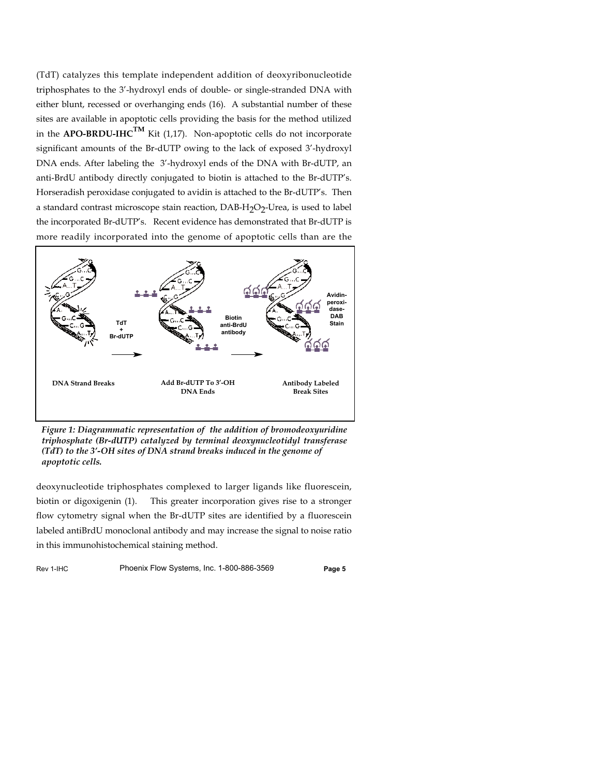(TdT) catalyzes this template independent addition of deoxyribonucleotide triphosphates to the 3'-hydroxyl ends of double- or single-stranded DNA with either blunt, recessed or overhanging ends (16). A substantial number of these sites are available in apoptotic cells providing the basis for the method utilized in the **APO-BRDU-IHC**<sup>TM</sup> Kit (1,17). Non-apoptotic cells do not incorporate significant amounts of the Br-dUTP owing to the lack of exposed 3'-hydroxyl DNA ends. After labeling the 3'-hydroxyl ends of the DNA with Br-dUTP, an anti-BrdU antibody directly conjugated to biotin is attached to the Br-dUTP's. Horseradish peroxidase conjugated to avidin is attached to the Br-dUTP's. Then a standard contrast microscope stain reaction, DAB-H<sub>2</sub>O<sub>2</sub>-Urea, is used to label the incorporated Br-dUTP's. Recent evidence has demonstrated that Br-dUTP is more readily incorporated into the genome of apoptotic cells than are the



*Figure 1: Diagrammatic representation of the addition of bromodeoxyuridine triphosphate (Br-dUTP) catalyzed by terminal deoxynucleotidyl transferase (TdT) to the 3'-OH sites of DNA strand breaks induced in the genome of apoptotic cells.*

deoxynucleotide triphosphates complexed to larger ligands like fluorescein, biotin or digoxigenin (1). This greater incorporation gives rise to a stronger flow cytometry signal when the Br-dUTP sites are identified by a fluorescein labeled antiBrdU monoclonal antibody and may increase the signal to noise ratio in this immunohistochemical staining method.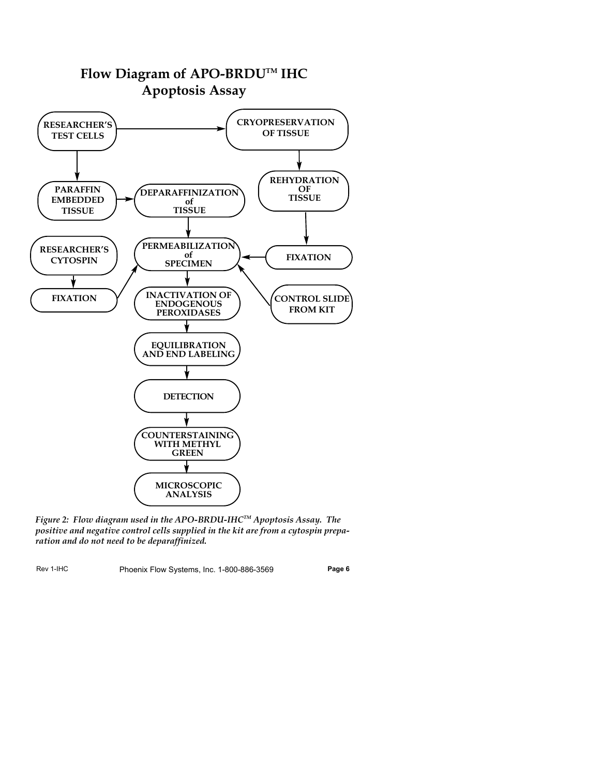

*Figure 2: Flow diagram used in the APO-BRDU-IHCTM Apoptosis Assay. The positive and negative control cells supplied in the kit are from a cytospin preparation and do not need to be deparaffinized.*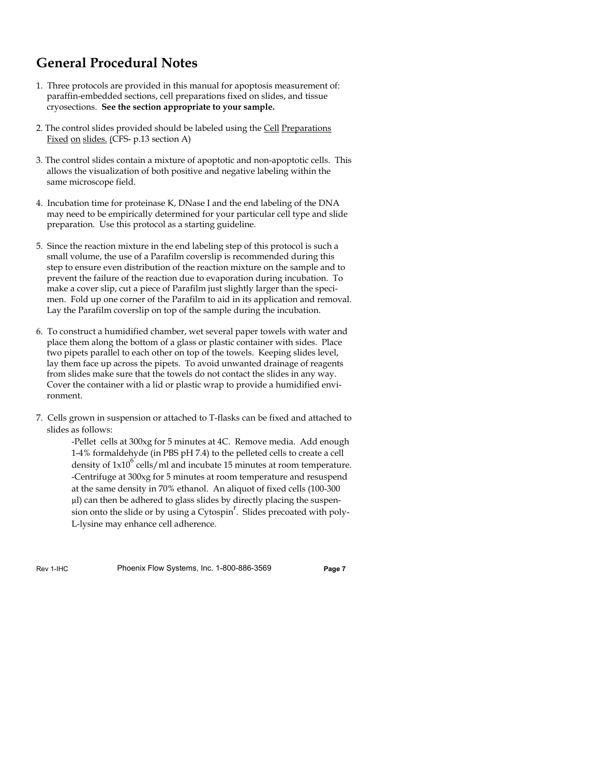## **General Procedural Notes**

- 1. Three protocols are provided in this manual for apoptosis measurement of: paraffin-embedded sections, cell preparations fixed on slides, and tissue cryosections. **See the section appropriate to your sample.**
- 2. The control slides provided should be labeled using the Cell Preparations Fixed on slides. (CFS- p.13 section A)
- 3. The control slides contain a mixture of apoptotic and non-apoptotic cells. This allows the visualization of both positive and negative labeling within the same microscope field.
- 4. Incubation time for proteinase K, DNase I and the end labeling of the DNA may need to be empirically determined for your particular cell type and slide preparation. Use this protocol as a starting guideline.
- 5. Since the reaction mixture in the end labeling step of this protocol is such a small volume, the use of a Parafilm coverslip is recommended during this step to ensure even distribution of the reaction mixture on the sample and to prevent the failure of the reaction due to evaporation during incubation. To make a cover slip, cut a piece of Parafilm just slightly larger than the specimen. Fold up one corner of the Parafilm to aid in its application and removal. Lay the Parafilm coverslip on top of the sample during the incubation.
- 6. To construct a humidified chamber, wet several paper towels with water and place them along the bottom of a glass or plastic container with sides. Place two pipets parallel to each other on top of the towels. Keeping slides level, lay them face up across the pipets. To avoid unwanted drainage of reagents from slides make sure that the towels do not contact the slides in any way. Cover the container with a lid or plastic wrap to provide a humidified environment.
- 7. Cells grown in suspension or attached to T-flasks can be fixed and attached to slides as follows:

-Pellet cells at 300xg for 5 minutes at 4C. Remove media. Add enough 1-4% formaldehyde (in PBS pH 7.4) to the pelleted cells to create a cell density of  $1x10^6$  cells/ml and incubate 15 minutes at room temperature. -Centrifuge at 300xg for 5 minutes at room temperature and resuspend at the same density in 70% ethanol. An aliquot of fixed cells (100-300 µl) can then be adhered to glass slides by directly placing the suspension onto the slide or by using a Cytospin<sup>r</sup>. Slides precoated with poly-L-lysine may enhance cell adherence.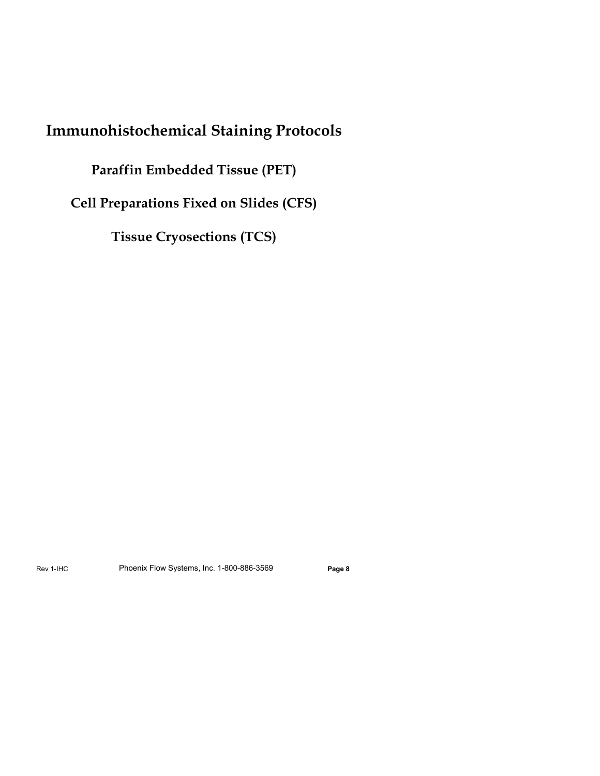## **Immunohistochemical Staining Protocols**

### **Paraffin Embedded Tissue (PET)**

**Cell Preparations Fixed on Slides (CFS)**

**Tissue Cryosections (TCS)**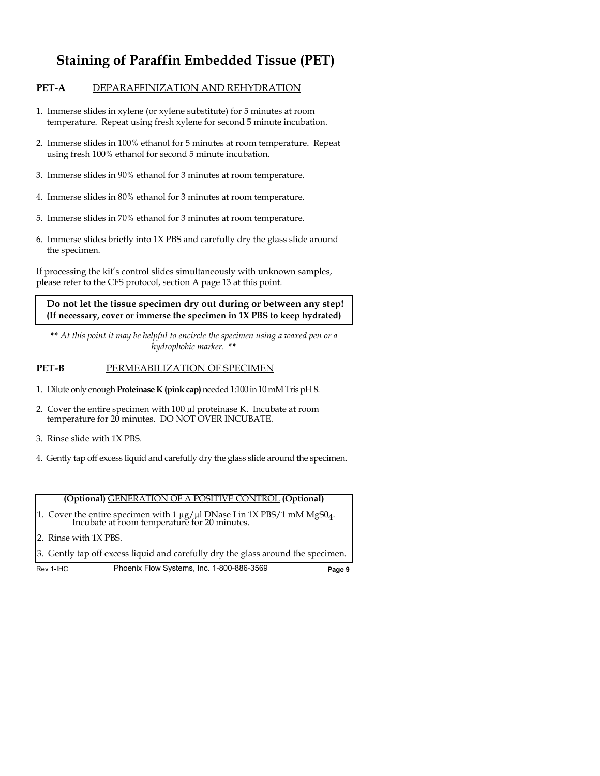## **Staining of Paraffin Embedded Tissue (PET)**

#### **PET-A** DEPARAFFINIZATION AND REHYDRATION

- 1. Immerse slides in xylene (or xylene substitute) for 5 minutes at room temperature. Repeat using fresh xylene for second 5 minute incubation.
- 2. Immerse slides in 100% ethanol for 5 minutes at room temperature. Repeat using fresh 100% ethanol for second 5 minute incubation.
- 3. Immerse slides in 90% ethanol for 3 minutes at room temperature.
- 4. Immerse slides in 80% ethanol for 3 minutes at room temperature.
- 5. Immerse slides in 70% ethanol for 3 minutes at room temperature.
- 6. Immerse slides briefly into 1X PBS and carefully dry the glass slide around the specimen.

If processing the kit's control slides simultaneously with unknown samples, please refer to the CFS protocol, section A page 13 at this point.

#### **Do not let the tissue specimen dry out during or between any step! (If necessary, cover or immerse the specimen in 1X PBS to keep hydrated)**

**\*\*** *At this point it may be helpful to encircle the specimen using a waxed pen or a hydrophobic marker.* **\*\***

#### **PET-B** PERMEABILIZATION OF SPECIMEN

- 1. Dilute only enough **Proteinase K (pink cap)** needed 1:100 in 10 mM Tris pH 8.
- 2. Cover the entire specimen with 100 µl proteinase K. Incubate at room temperature for 20 minutes. DO NOT OVER INCUBATE.
- 3. Rinse slide with 1X PBS.
- 4. Gently tap off excess liquid and carefully dry the glass slide around the specimen.

#### **(Optional)** GENERATION OF A POSITIVE CONTROL **(Optional)**

- 1. Cover the <u>entire</u> specimen with 1  $\mu$ g/ $\mu$ l DNase I in 1X PBS/1 mM MgS0<sub>4</sub>. Incubate at room temperature for 20 minutes.
- 2. Rinse with 1X PBS.
- 3. Gently tap off excess liquid and carefully dry the glass around the specimen.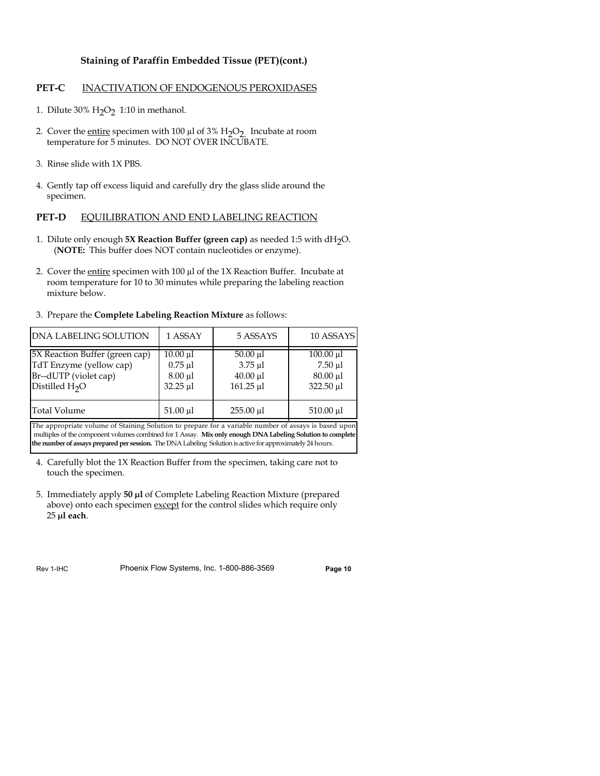#### **Staining of Paraffin Embedded Tissue (PET)(cont.)**

#### **PET-C** INACTIVATION OF ENDOGENOUS PEROXIDASES

- 1. Dilute 30%  $H_2O_2$  1:10 in methanol.
- 2. Cover the entire specimen with 100  $\mu$ l of 3% H<sub>2</sub>O<sub>2</sub>. Incubate at room temperature for 5 minutes. DO NOT OVER INCUBATE.
- 3. Rinse slide with 1X PBS.
- 4. Gently tap off excess liquid and carefully dry the glass slide around the specimen.

#### **PET-D** EQUILIBRATION AND END LABELING REACTION

- 1. Dilute only enough **5X Reaction Buffer (green cap)** as needed 1:5 with dH<sub>2</sub>O. (**NOTE:** This buffer does NOT contain nucleotides or enzyme).
- 2. Cover the entire specimen with  $100 \mu$  of the 1X Reaction Buffer. Incubate at room temperature for 10 to 30 minutes while preparing the labeling reaction mixture below.
- 3. Prepare the **Complete Labeling Reaction Mixture** as follows:

| <b>IDNA LABELING SOLUTION</b>                                                                          | 1 ASSAY                                                          | 5 ASSAYS                                                 | 10 ASSAYS                                                    |
|--------------------------------------------------------------------------------------------------------|------------------------------------------------------------------|----------------------------------------------------------|--------------------------------------------------------------|
| 5X Reaction Buffer (green cap)<br>TdT Enzyme (yellow cap)<br>Br--dUTP (violet cap)<br>Distilled $H_2O$ | $10.00 \mu l$<br>$0.75$ $\mu$ l<br>$8.00 \mu l$<br>$32.25 \mu l$ | $50.00 \mu l$<br>$3.75$ µl<br>$40.00 \mu$ l<br>161.25 µl | $100.00 \mu l$<br>$7.50 \mu l$<br>$80.00 \mu l$<br>322.50 µl |
| Total Volume                                                                                           | 51.00 µl                                                         | 255.00 µl                                                | 510.00 µl                                                    |

The appropriate volume of Staining Solution to prepare for a variable number of assays is based upon multiples of the component volumes combined for 1 Assay. **Mix only enough DNA Labeling Solution to complete the number of assays prepared per session.** The DNA Labeling Solution is active for approximately 24 hours.

- 4. Carefully blot the 1X Reaction Buffer from the specimen, taking care not to touch the specimen.
- 5. Immediately apply **50 µl** of Complete Labeling Reaction Mixture (prepared above) onto each specimen except for the control slides which require only 25 **µl each**.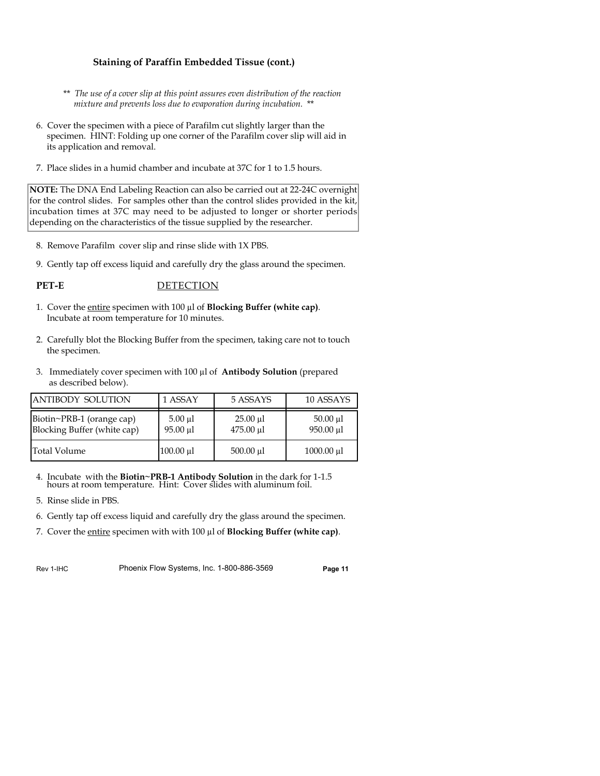#### **Staining of Paraffin Embedded Tissue (cont.)**

- \*\* *The use of a cover slip at this point assures even distribution of the reaction mixture and prevents loss due to evaporation during incubation.* \*\*
- 6. Cover the specimen with a piece of Parafilm cut slightly larger than the specimen. HINT: Folding up one corner of the Parafilm cover slip will aid in its application and removal.
- 7. Place slides in a humid chamber and incubate at 37C for 1 to 1.5 hours.

**NOTE:** The DNA End Labeling Reaction can also be carried out at 22-24C overnight for the control slides. For samples other than the control slides provided in the kit, incubation times at 37C may need to be adjusted to longer or shorter periods depending on the characteristics of the tissue supplied by the researcher.

- 8. Remove Parafilm cover slip and rinse slide with 1X PBS.
- 9. Gently tap off excess liquid and carefully dry the glass around the specimen.

#### PET-E DETECTION

- 1. Cover the entire specimen with 100 µl of **Blocking Buffer (white cap)**. Incubate at room temperature for 10 minutes.
- 2. Carefully blot the Blocking Buffer from the specimen, taking care not to touch the specimen.
- 3. Immediately cover specimen with 100 µl of **Antibody Solution** (prepared as described below).

| <b>JANTIBODY SOLUTION</b>                                | 1 ASSAY                       | 5 ASSAYS                   | 10 ASSAYS                  |
|----------------------------------------------------------|-------------------------------|----------------------------|----------------------------|
| Biotin~PRB-1 (orange cap)<br>Blocking Buffer (white cap) | $5.00 \mu l$<br>$95.00 \mu l$ | $25.00 \mu l$<br>475.00 µl | $50.00 \mu l$<br>950.00 µl |
| Total Volume                                             | 100.00 µ1                     | 500.00 µl                  | 1000.00 µl                 |

- 4. Incubate with the **Biotin~PRB-1 Antibody Solution** in the dark for 1-1.5 hours at room temperature. Hint: Cover slides with aluminum foil.
- 5. Rinse slide in PBS.
- 6. Gently tap off excess liquid and carefully dry the glass around the specimen.
- 7. Cover the entire specimen with with 100 µl of **Blocking Buffer (white cap)**.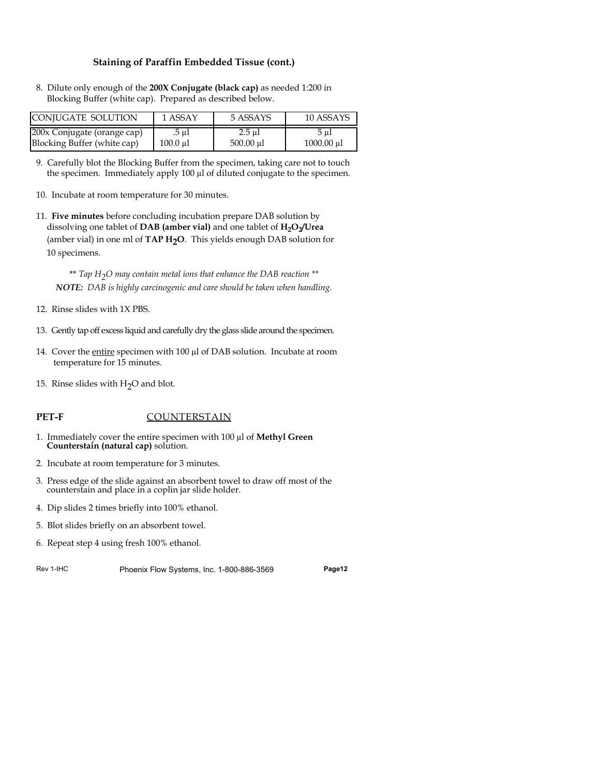#### **Staining of Paraffin Embedded Tissue (cont.)**

8. Dilute only enough of the **200X Conjugate (black cap)** as needed 1:200 in Blocking Buffer (white cap). Prepared as described below.

| ICONIUGATE SOLUTION         | 1 ASSAY  | 5 ASSAYS  | 10 ASSAYS       |
|-----------------------------|----------|-----------|-----------------|
| 200x Conjugate (orange cap) | .5 ul    | 2.5 ul    | 5 ul            |
| Blocking Buffer (white cap) | 100.0 ul | 500.00 ul | $1000.00 \mu l$ |

- 9. Carefully blot the Blocking Buffer from the specimen, taking care not to touch the specimen. Immediately apply 100 µl of diluted conjugate to the specimen.
- 10. Incubate at room temperature for 30 minutes.
- 11. **Five minutes** before concluding incubation prepare DAB solution by dissolving one tablet of DAB (amber vial) and one tablet of  $H_2O_2/U$ rea (amber vial) in one ml of TAP H<sub>2</sub>O. This yields enough DAB solution for 10 specimens.

\*\* *Tap H2O may contain metal ions that enhance the DAB reaction \*\* NOTE: DAB is highly carcinogenic and care should be taken when handling.*

- 12. Rinse slides with 1X PBS.
- 13. Gently tap off excess liquid and carefully dry the glass slide around the specimen.
- 14. Cover the entire specimen with 100 µl of DAB solution. Incubate at room temperature for 15 minutes.
- 15. Rinse slides with  $H_2O$  and blot.

#### **PET-F** COUNTERSTAIN

- 1. Immediately cover the entire specimen with 100 µl of **Methyl Green Counterstain (natural cap)** solution.
- 2. Incubate at room temperature for 3 minutes.
- 3. Press edge of the slide against an absorbent towel to draw off most of the counterstain and place in a coplin jar slide holder.
- 4. Dip slides 2 times briefly into 100% ethanol.
- 5. Blot slides briefly on an absorbent towel.
- 6. Repeat step 4 using fresh 100% ethanol.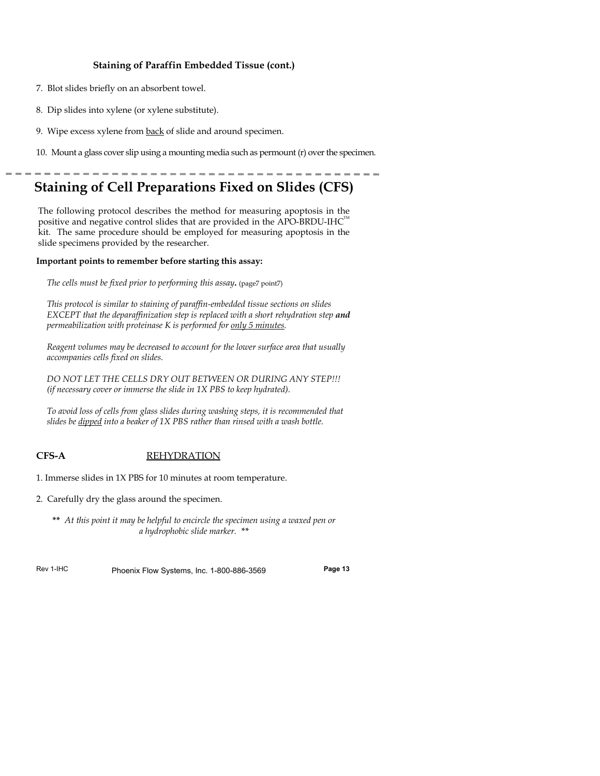#### **Staining of Paraffin Embedded Tissue (cont.)**

- 7. Blot slides briefly on an absorbent towel.
- 8. Dip slides into xylene (or xylene substitute).
- 9. Wipe excess xylene from back of slide and around specimen.
- 10. Mount a glass cover slip using a mounting media such as permount  $(r)$  over the specime

## **Staining of Cell Preparations Fixed on Slides (CFS)**

The following protocol describes the method for measuring apoptosis in the positive and negative control slides that are provided in the APO-BRDU-IHC $^{\text{\tiny{\textsf{TM}}}}$ kit. The same procedure should be employed for measuring apoptosis in the slide specimens provided by the researcher.

#### **Important points to remember before starting this assay:**

*The cells must be fixed prior to performing this assay.* (page7 point7)

*This protocol is similar to staining of paraffin-embedded tissue sections on slides EXCEPT that the deparaffinization step is replaced with a short rehydration step and permeabilization with proteinase K is performed for only 5 minutes.*

*Reagent volumes may be decreased to account for the lower surface area that usually accompanies cells fixed on slides.* 

*DO NOT LET THE CELLS DRY OUT BETWEEN OR DURING ANY STEP!!! (if necessary cover or immerse the slide in 1X PBS to keep hydrated).*

*To avoid loss of cells from glass slides during washing steps, it is recommended that slides be dipped into a beaker of 1X PBS rather than rinsed with a wash bottle.*

#### **CFS-A** REHYDRATION

- 1. Immerse slides in 1X PBS for 10 minutes at room temperature.
- 2. Carefully dry the glass around the specimen.
	- **\*\*** *At this point it may be helpful to encircle the specimen using a waxed pen or a hydrophobic slide marker. \*\**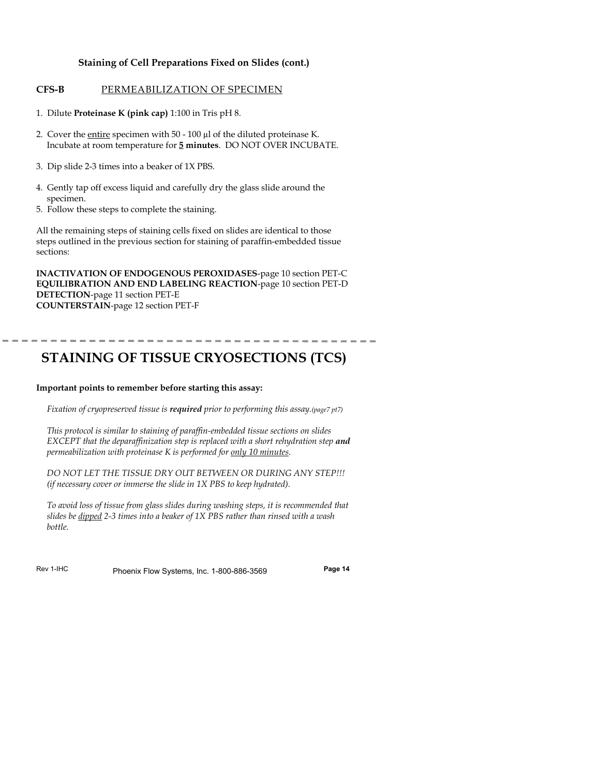#### **Staining of Cell Preparations Fixed on Slides (cont.)**

#### **CFS-B** PERMEABILIZATION OF SPECIMEN

- 1. Dilute **Proteinase K (pink cap)** 1:100 in Tris pH 8.
- 2. Cover the entire specimen with 50 100 µl of the diluted proteinase K. Incubate at room temperature for **5 minutes**. DO NOT OVER INCUBATE.
- 3. Dip slide 2-3 times into a beaker of 1X PBS.
- 4. Gently tap off excess liquid and carefully dry the glass slide around the specimen.
- 5. Follow these steps to complete the staining.

All the remaining steps of staining cells fixed on slides are identical to those steps outlined in the previous section for staining of paraffin-embedded tissue sections:

**INACTIVATION OF ENDOGENOUS PEROXIDASES**-page 10 section PET-C **EQUILIBRATION AND END LABELING REACTION**-page 10 section PET-D **DETECTION**-page 11 section PET-E **COUNTERSTAIN**-page 12 section PET-F

## **STAINING OF TISSUE CRYOSECTIONS (TCS)**

#### **Important points to remember before starting this assay:**

*Fixation of cryopreserved tissue is required prior to performing this assay.(page7 pt7)*

*This protocol is similar to staining of paraffin-embedded tissue sections on slides EXCEPT that the deparaffinization step is replaced with a short rehydration step and permeabilization with proteinase K is performed for only 10 minutes.*

*DO NOT LET THE TISSUE DRY OUT BETWEEN OR DURING ANY STEP!!! (if necessary cover or immerse the slide in 1X PBS to keep hydrated).*

*To avoid loss of tissue from glass slides during washing steps, it is recommended that slides be dipped 2-3 times into a beaker of 1X PBS rather than rinsed with a wash bottle.*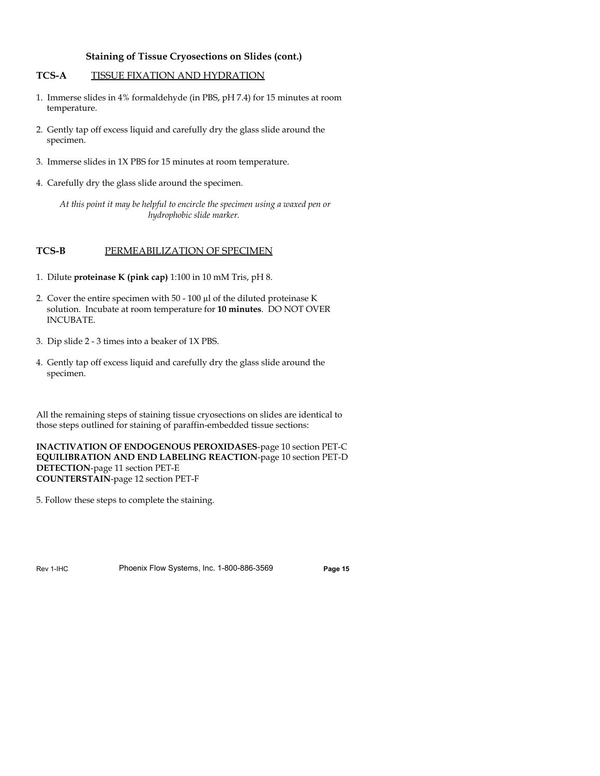#### **Staining of Tissue Cryosections on Slides (cont.)**

#### **TCS-A** TISSUE FIXATION AND HYDRATION

- 1. Immerse slides in 4% formaldehyde (in PBS, pH 7.4) for 15 minutes at room temperature.
- 2. Gently tap off excess liquid and carefully dry the glass slide around the specimen.
- 3. Immerse slides in 1X PBS for 15 minutes at room temperature.
- 4. Carefully dry the glass slide around the specimen.

*At this point it may be helpful to encircle the specimen using a waxed pen or hydrophobic slide marker.*

#### **TCS-B** PERMEABILIZATION OF SPECIMEN

- 1. Dilute **proteinase K (pink cap)** 1:100 in 10 mM Tris, pH 8.
- 2. Cover the entire specimen with 50 100 µl of the diluted proteinase K solution. Incubate at room temperature for **10 minutes**. DO NOT OVER **INCUBATE**
- 3. Dip slide 2 3 times into a beaker of 1X PBS.
- 4. Gently tap off excess liquid and carefully dry the glass slide around the specimen.

All the remaining steps of staining tissue cryosections on slides are identical to those steps outlined for staining of paraffin-embedded tissue sections:

**INACTIVATION OF ENDOGENOUS PEROXIDASES**-page 10 section PET-C **EQUILIBRATION AND END LABELING REACTION**-page 10 section PET-D **DETECTION**-page 11 section PET-E **COUNTERSTAIN**-page 12 section PET-F

5. Follow these steps to complete the staining.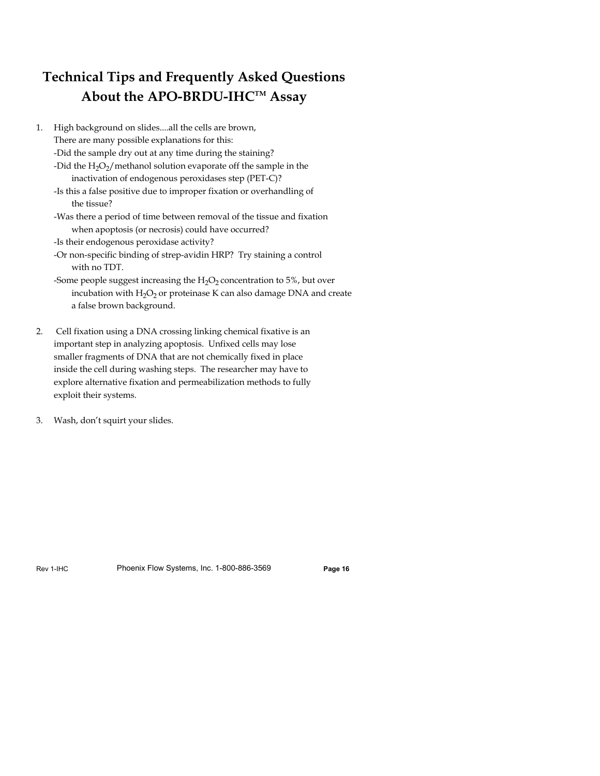## **Technical Tips and Frequently Asked Questions About the APO-BRDU-IHCTM Assay**

- 1. High background on slides....all the cells are brown, There are many possible explanations for this: -Did the sample dry out at any time during the staining? -Did the  $H_2O_2/m$ ethanol solution evaporate off the sample in the inactivation of endogenous peroxidases step (PET-C)? -Is this a false positive due to improper fixation or overhandling of the tissue?
	- -Was there a period of time between removal of the tissue and fixation when apoptosis (or necrosis) could have occurred?
	- -Is their endogenous peroxidase activity?
	- -Or non-specific binding of strep-avidin HRP? Try staining a control with no TDT.
	- -Some people suggest increasing the  $H_2O_2$  concentration to 5%, but over incubation with  $H_2O_2$  or proteinase K can also damage DNA and create a false brown background.
- 2. Cell fixation using a DNA crossing linking chemical fixative is an important step in analyzing apoptosis. Unfixed cells may lose smaller fragments of DNA that are not chemically fixed in place inside the cell during washing steps. The researcher may have to explore alternative fixation and permeabilization methods to fully exploit their systems.
- 3. Wash, don't squirt your slides.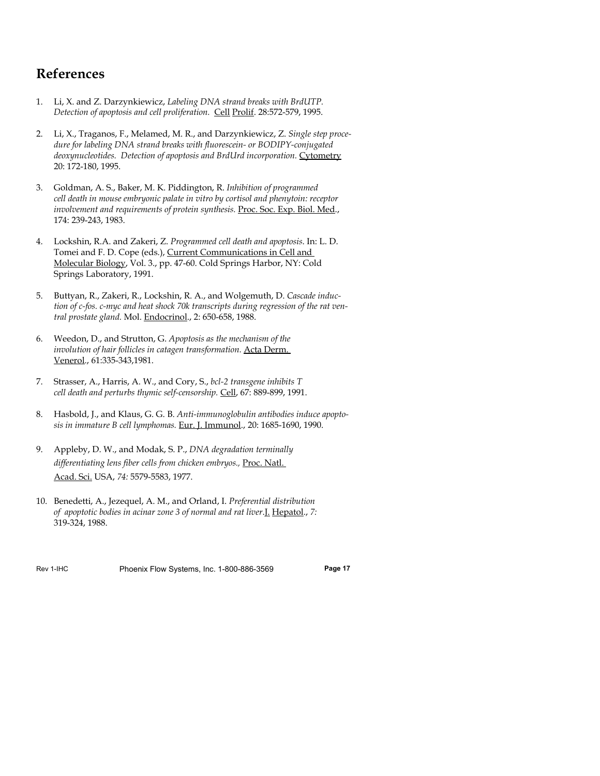## **References**

- 1. Li, X. and Z. Darzynkiewicz, *Labeling DNA strand breaks with BrdUTP. Detection of apoptosis and cell proliferation.* Cell Prolif. 28:572-579, 1995.
- 2. Li, X., Traganos, F., Melamed, M. R., and Darzynkiewicz, Z. *Single step procedure for labeling DNA strand breaks with fluorescein- or BODIPY-conjugated deoxynucleotides. Detection of apoptosis and BrdUrd incorporation.* Cytometry 20: 172-180, 1995.
- 3. Goldman, A. S., Baker, M. K. Piddington, R. *Inhibition of programmed cell death in mouse embryonic palate in vitro by cortisol and phenytoin: receptor involvement and requirements of protein synthesis.* Proc. Soc. Exp. Biol. Med., 174: 239-243, 1983.
- 4. Lockshin, R.A. and Zakeri, Z. *Programmed cell death and apoptosis*. In: L. D. Tomei and F. D. Cope (eds.), Current Communications in Cell and Molecular Biology, Vol. 3., pp. 47-60. Cold Springs Harbor, NY: Cold Springs Laboratory, 1991.
- 5. Buttyan, R., Zakeri, R., Lockshin, R. A., and Wolgemuth, D. *Cascade induction of c-fos. c-myc and heat shock 70k transcripts during regression of the rat ventral prostate gland.* Mol. Endocrinol., 2: 650-658, 1988.
- 6. Weedon, D., and Strutton, G. *Apoptosis as the mechanism of the involution of hair follicles in catagen transformation.* Acta Derm. Venerol., 61:335-343,1981.
- 7. Strasser, A., Harris, A. W., and Cory, S., *bcl-2 transgene inhibits T cell death and perturbs thymic self-censorship.* Cell, 67: 889-899, 1991.
- 8. Hasbold, J., and Klaus, G. G. B. *Anti-immunoglobulin antibodies induce apoptosis in immature B cell lymphomas.* Eur. J. Immunol., 20: 1685-1690, 1990.
- 9. Appleby, D. W., and Modak, S. P., *DNA degradation terminally differentiating lens fiber cells from chicken embryos.,* Proc. Natl. Acad. Sci. USA, *74:* 5579-5583, 1977.
- 10. Benedetti, A., Jezequel, A. M., and Orland, I. *Preferential distribution of apoptotic bodies in acinar zone 3 of normal and rat liver*.J. Hepatol., *7:* 319-324, 1988.